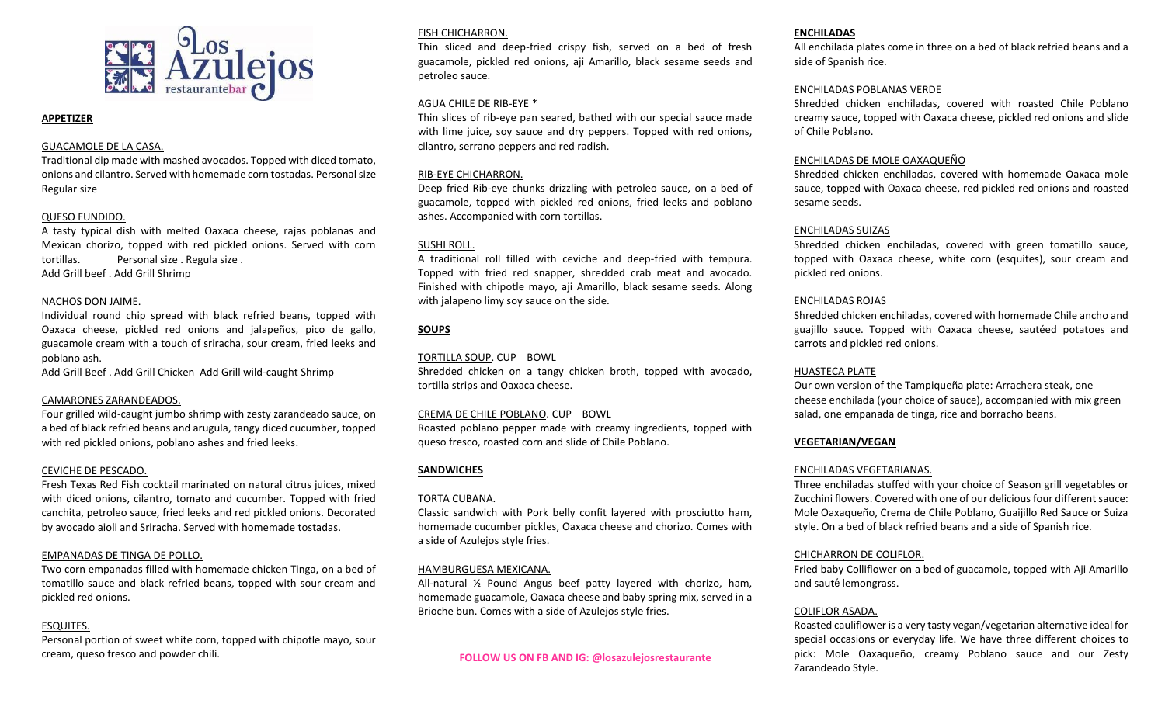

# **APPETIZER**

# GUACAMOLE DE LA CASA.

Traditional dip made with mashed avocados. Topped with diced tomato, onions and cilantro. Served with homemade corn tostadas. Personal size Regular size

# QUESO FUNDIDO.

A tasty typical dish with melted Oaxaca cheese, rajas poblanas and Mexican chorizo, topped with red pickled onions. Served with corn tortillas. Personal size . Regula size . Add Grill beef . Add Grill Shrimp

### NACHOS DON JAIME.

Individual round chip spread with black refried beans, topped with Oaxaca cheese, pickled red onions and jalapeños, pico de gallo, guacamole cream with a touch of sriracha, sour cream, fried leeks and poblano ash.

Add Grill Beef . Add Grill Chicken Add Grill wild-caught Shrimp

# CAMARONES ZARANDEADOS.

Four grilled wild-caught jumbo shrimp with zesty zarandeado sauce, on a bed of black refried beans and arugula, tangy diced cucumber, topped with red pickled onions, poblano ashes and fried leeks.

# CEVICHE DE PESCADO.

Fresh Texas Red Fish cocktail marinated on natural citrus juices, mixed with diced onions, cilantro, tomato and cucumber. Topped with fried canchita, petroleo sauce, fried leeks and red pickled onions. Decorated by avocado aioli and Sriracha. Served with homemade tostadas.

# EMPANADAS DE TINGA DE POLLO.

Two corn empanadas filled with homemade chicken Tinga, on a bed of tomatillo sauce and black refried beans, topped with sour cream and pickled red onions.

# ESQUITES.

Personal portion of sweet white corn, topped with chipotle mayo, sour cream, queso fresco and powder chili.

### FISH CHICHARRON.

Thin sliced and deep-fried crispy fish, served on a bed of fresh guacamole, pickled red onions, aji Amarillo, black sesame seeds and petroleo sauce.

# AGUA CHILE DE RIB-EYE \*

Thin slices of rib-eye pan seared, bathed with our special sauce made with lime juice, soy sauce and dry peppers. Topped with red onions, cilantro, serrano peppers and red radish.

# RIB-EYE CHICHARRON.

Deep fried Rib-eye chunks drizzling with petroleo sauce, on a bed of guacamole, topped with pickled red onions, fried leeks and poblano ashes. Accompanied with corn tortillas.

# SUSHI ROLL.

A traditional roll filled with ceviche and deep-fried with tempura. Topped with fried red snapper, shredded crab meat and avocado. Finished with chipotle mayo, aji Amarillo, black sesame seeds. Along with jalapeno limy soy sauce on the side.

# **SOUPS**

# TORTILLA SOUP. CUP BOWL

Shredded chicken on a tangy chicken broth, topped with avocado, tortilla strips and Oaxaca cheese.

# CREMA DE CHILE POBLANO. CUP BOWL

Roasted poblano pepper made with creamy ingredients, topped with queso fresco, roasted corn and slide of Chile Poblano.

# **SANDWICHES**

# TORTA CUBANA.

Classic sandwich with Pork belly confit layered with prosciutto ham, homemade cucumber pickles, Oaxaca cheese and chorizo. Comes with a side of Azulejos style fries.

# HAMBURGUESA MEXICANA.

All-natural ½ Pound Angus beef patty layered with chorizo, ham, homemade guacamole, Oaxaca cheese and baby spring mix, served in a Brioche bun. Comes with a side of Azulejos style fries.

# **ENCHILADAS**

All enchilada plates come in three on a bed of black refried beans and a side of Spanish rice.

### ENCHILADAS POBLANAS VERDE

Shredded chicken enchiladas, covered with roasted Chile Poblano creamy sauce, topped with Oaxaca cheese, pickled red onions and slide of Chile Poblano.

# ENCHILADAS DE MOLE OAXAQUEÑO

Shredded chicken enchiladas, covered with homemade Oaxaca mole sauce, topped with Oaxaca cheese, red pickled red onions and roasted sesame seeds.

# ENCHILADAS SUIZAS

Shredded chicken enchiladas, covered with green tomatillo sauce, topped with Oaxaca cheese, white corn (esquites), sour cream and pickled red onions.

# ENCHILADAS ROJAS

Shredded chicken enchiladas, covered with homemade Chile ancho and guajillo sauce. Topped with Oaxaca cheese, sautéed potatoes and carrots and pickled red onions.

# HUASTECA PLATE

Our own version of the Tampiqueña plate: Arrachera steak, one cheese enchilada (your choice of sauce), accompanied with mix green salad, one empanada de tinga, rice and borracho beans.

# **VEGETARIAN/VEGAN**

# ENCHILADAS VEGETARIANAS.

Three enchiladas stuffed with your choice of Season grill vegetables or Zucchini flowers. Covered with one of our delicious four different sauce: Mole Oaxaqueño, Crema de Chile Poblano, Guaijillo Red Sauce or Suiza style. On a bed of black refried beans and a side of Spanish rice.

# CHICHARRON DE COLIFLOR.

Fried baby Colliflower on a bed of guacamole, topped with Aji Amarillo and sauté lemongrass.

# COLIFLOR ASADA.

Roasted cauliflower is a very tasty vegan/vegetarian alternative ideal for special occasions or everyday life. We have three different choices to pick: Mole Oaxaqueño, creamy Poblano sauce and our Zesty Zarandeado Style.